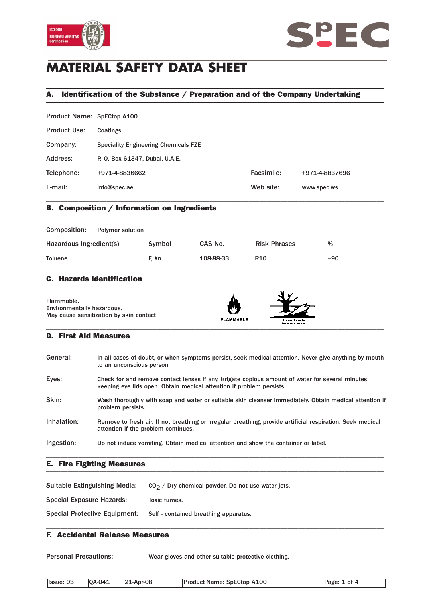



## **MATERIAL SAFETY DATA SHEET**

## A. Identification of the Substance / Preparation and of the Company Undertaking \_\_\_\_\_\_\_\_\_\_\_\_\_\_\_\_\_\_\_\_\_\_\_\_\_\_\_\_\_\_\_\_\_\_\_\_\_\_\_\_\_\_\_\_\_\_\_\_\_\_\_\_\_\_\_\_\_\_\_\_\_\_\_\_\_\_\_\_\_\_\_\_\_\_\_\_\_\_\_\_\_\_\_\_\_\_\_\_\_\_\_\_\_\_\_

\_\_\_\_\_\_\_\_\_\_\_\_\_\_\_\_\_\_\_\_\_\_\_\_\_\_\_\_\_\_\_\_\_\_\_\_\_\_\_\_\_\_\_\_\_\_\_\_\_\_\_\_\_\_\_\_\_\_\_\_\_\_\_\_\_\_\_\_\_\_\_\_\_\_\_\_\_\_\_\_\_\_\_\_\_\_\_\_\_\_\_\_\_\_\_

| Product Name: SpECtop A100 |                                             |            |                |
|----------------------------|---------------------------------------------|------------|----------------|
| <b>Product Use:</b>        | Coatings                                    |            |                |
| Company:                   | <b>Speciality Engineering Chemicals FZE</b> |            |                |
| Address:                   | P. O. Box 61347, Dubai, U.A.E.              |            |                |
| Telephone:                 | +971-4-8836662                              | Facsimile: | +971-4-8837696 |
| E-mail:                    | info@spec.ae                                | Web site:  | www.spec.ws    |
|                            |                                             |            |                |

## B. Composition / Information on Ingredients \_\_\_\_\_\_\_\_\_\_\_\_\_\_\_\_\_\_\_\_\_\_\_\_\_\_\_\_\_\_\_\_\_\_\_\_\_\_\_\_\_\_\_\_\_\_\_\_\_\_\_\_\_\_\_\_\_\_\_\_\_\_\_\_\_\_\_\_\_\_\_\_\_\_\_\_\_\_\_\_\_\_\_\_\_\_\_\_\_\_\_\_\_\_\_

| Composition:            | <b>Polymer solution</b> |        |           |                     |       |
|-------------------------|-------------------------|--------|-----------|---------------------|-------|
| Hazardous Ingredient(s) |                         | Symbol | CAS No.   | <b>Risk Phrases</b> | %     |
| Toluene                 |                         | F. Xn  | 108-88-33 | R <sub>10</sub>     | $-90$ |

\_\_\_\_\_\_\_\_\_\_\_\_\_\_\_\_\_\_\_\_\_\_\_\_\_\_\_\_\_\_\_\_\_\_\_\_\_\_\_\_\_\_\_\_\_\_\_\_\_\_\_\_\_\_\_\_\_\_\_\_\_\_\_\_\_\_\_\_\_\_\_\_\_\_\_\_\_\_\_\_\_\_\_\_\_\_\_\_\_\_\_\_\_\_\_

#### C. Hazards Identification  $\blacksquare$

Flammable. Environmentally hazardous. May cause sensitization by skin contact

# **FLAMMABLE**



#### D. First Aid Measures \_\_\_\_\_\_\_\_\_\_\_\_\_\_\_\_\_\_\_\_\_\_\_\_\_\_\_\_\_\_\_\_\_\_\_\_\_\_\_\_\_\_\_\_\_\_\_\_\_\_\_\_\_\_\_\_\_\_\_\_\_\_\_\_\_\_\_\_\_\_\_\_\_\_\_\_\_\_\_\_\_\_\_\_\_\_\_\_\_\_\_\_\_\_\_

| General:    | In all cases of doubt, or when symptoms persist, seek medical attention. Never give anything by mouth<br>to an unconscious person.                                       |
|-------------|--------------------------------------------------------------------------------------------------------------------------------------------------------------------------|
| Eyes:       | Check for and remove contact lenses if any, irrigate copious amount of water for several minutes<br>keeping eye lids open. Obtain medical attention if problem persists. |
| Skin:       | Wash thoroughly with soap and water or suitable skin cleanser immediately. Obtain medical attention if<br>problem persists.                                              |
| Inhalation: | Remove to fresh air. If not breathing or irregular breathing, provide artificial respiration. Seek medical<br>attention if the problem continues.                        |
| Ingestion:  | Do not induce vomiting. Obtain medical attention and show the container or label.                                                                                        |

## E. Fire Fighting Measures \_\_\_\_\_\_\_\_\_\_\_\_\_\_\_\_\_\_\_\_\_\_\_\_\_\_\_\_\_\_\_\_\_\_\_\_\_\_\_\_\_\_\_\_\_\_\_\_\_\_\_\_\_\_\_\_\_\_\_\_\_\_\_\_\_\_\_\_\_\_\_\_\_\_\_\_\_\_\_\_\_\_\_\_\_\_\_\_\_\_\_\_\_\_\_

Suitable Extinguishing Media:  $CO<sub>2</sub> / Dry$  chemical powder. Do not use water jets.

Special Exposure Hazards: Toxic fumes.

Special Protective Equipment: Self - contained breathing apparatus.

#### F. Accidental Release Measures \_\_\_\_\_\_\_\_\_\_\_\_\_\_\_\_\_\_\_\_\_\_\_\_\_\_\_\_\_\_\_\_\_\_\_\_\_\_\_\_\_\_\_\_\_\_\_\_\_\_\_\_\_\_\_\_\_\_\_\_\_\_\_\_\_\_\_\_\_\_\_\_\_\_\_\_\_\_\_\_\_\_\_\_\_\_\_\_\_\_\_\_\_\_\_

Personal Precautions: Wear gloves and other suitable protective clothing.

\_\_\_\_\_\_\_\_\_\_\_\_\_\_\_\_\_\_\_\_\_\_\_\_\_\_\_\_\_\_\_\_\_\_\_\_\_\_\_\_\_\_\_\_\_\_\_\_\_\_\_\_\_\_\_\_\_\_\_\_\_\_\_\_\_\_\_\_\_\_\_\_\_\_\_\_\_\_\_\_\_\_\_\_\_\_\_\_\_\_\_\_\_\_\_

| Issue:<br>03 | $IOA-041$ | 1-Apr-08<br>104 | <b>Product Name: SpECtop A100</b><br>______ | <b>IPage</b><br>0Ť |
|--------------|-----------|-----------------|---------------------------------------------|--------------------|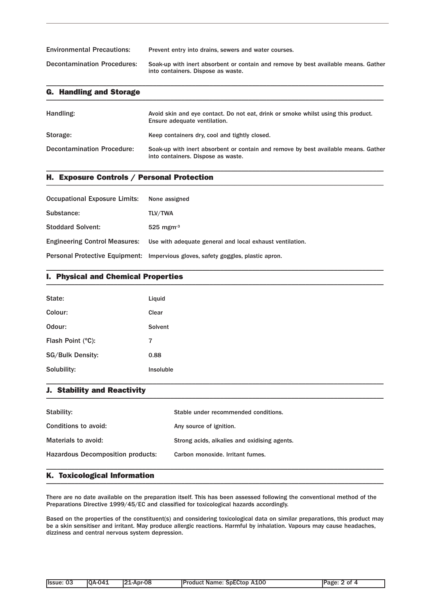| <b>Environmental Precautions:</b>  | Prevent entry into drains, sewers and water courses.                                                                     |
|------------------------------------|--------------------------------------------------------------------------------------------------------------------------|
| <b>Decontamination Procedures:</b> | Soak-up with inert absorbent or contain and remove by best available means. Gather<br>into containers. Dispose as waste. |

\_\_\_\_\_\_\_\_\_\_\_\_\_\_\_\_\_\_\_\_\_\_\_\_\_\_\_\_\_\_\_\_\_\_\_\_\_\_\_\_\_\_\_\_\_\_\_\_\_\_\_\_\_\_\_\_\_\_\_\_\_\_\_\_\_\_\_\_\_\_\_\_\_\_\_\_\_\_\_\_\_\_\_\_\_\_\_\_\_\_\_\_\_\_\_

| <b>G. Handling and Storage</b>    |                                                                                                                          |
|-----------------------------------|--------------------------------------------------------------------------------------------------------------------------|
| Handling:                         | Avoid skin and eve contact. Do not eat, drink or smoke whilst using this product.<br>Ensure adequate ventilation.        |
| Storage:                          | Keep containers dry, cool and tightly closed.                                                                            |
| <b>Decontamination Procedure:</b> | Soak-up with inert absorbent or contain and remove by best available means. Gather<br>into containers. Dispose as waste. |

\_\_\_\_\_\_\_\_\_\_\_\_\_\_\_\_\_\_\_\_\_\_\_\_\_\_\_\_\_\_\_\_\_\_\_\_\_\_\_\_\_\_\_\_\_\_\_\_\_\_\_\_\_\_\_\_\_\_\_\_\_\_\_\_\_\_\_\_\_\_\_\_\_\_\_\_\_\_\_\_\_\_\_\_\_\_\_\_\_\_\_\_\_\_\_

\_\_\_\_\_\_\_\_\_\_\_\_\_\_\_\_\_\_\_\_\_\_\_\_\_\_\_\_\_\_\_\_\_\_\_\_\_\_\_\_\_\_\_\_\_\_\_\_\_\_\_\_\_\_\_\_\_\_\_\_\_\_\_\_\_\_\_\_\_\_\_\_\_\_\_\_\_\_\_\_\_\_\_\_\_\_\_\_\_\_\_\_\_\_\_

## H. Exposure Controls / Personal Protection \_\_\_\_\_\_\_\_\_\_\_\_\_\_\_\_\_\_\_\_\_\_\_\_\_\_\_\_\_\_\_\_\_\_\_\_\_\_\_\_\_\_\_\_\_\_\_\_\_\_\_\_\_\_\_\_\_\_\_\_\_\_\_\_\_\_\_\_\_\_\_\_\_\_\_\_\_\_\_\_\_\_\_\_\_\_\_\_\_\_\_\_\_\_\_

| <b>Occupational Exposure Limits:</b> | None assigned                                                                          |
|--------------------------------------|----------------------------------------------------------------------------------------|
| Substance:                           | TLV/TWA                                                                                |
| <b>Stoddard Solvent:</b>             | $525$ mgm <sup>-3</sup>                                                                |
|                                      | Engineering Control Measures: Use with adequate general and local exhaust ventilation. |
|                                      | Personal Protective Equipment: Impervious gloves, safety goggles, plastic apron.       |

## I. Physical and Chemical Properties \_\_\_\_\_\_\_\_\_\_\_\_\_\_\_\_\_\_\_\_\_\_\_\_\_\_\_\_\_\_\_\_\_\_\_\_\_\_\_\_\_\_\_\_\_\_\_\_\_\_\_\_\_\_\_\_\_\_\_\_\_\_\_\_\_\_\_\_\_\_\_\_\_\_\_\_\_\_\_\_\_\_\_\_\_\_\_\_\_\_\_\_\_\_\_

| State:                  | Liquid    |
|-------------------------|-----------|
| Colour:                 | Clear     |
| Odour:                  | Solvent   |
| Flash Point (°C):       | 7         |
| <b>SG/Bulk Density:</b> | 0.88      |
| Solubility:             | Insoluble |

#### J. Stability and Reactivity  $\blacksquare$

| Stability:                               | Stable under recommended conditions.         |
|------------------------------------------|----------------------------------------------|
| Conditions to avoid:                     | Any source of ignition.                      |
| Materials to avoid:                      | Strong acids, alkalies and oxidising agents. |
| <b>Hazardous Decomposition products:</b> | Carbon monoxide. Irritant fumes.             |
|                                          |                                              |

\_\_\_\_\_\_\_\_\_\_\_\_\_\_\_\_\_\_\_\_\_\_\_\_\_\_\_\_\_\_\_\_\_\_\_\_\_\_\_\_\_\_\_\_\_\_\_\_\_\_\_\_\_\_\_\_\_\_\_\_\_\_\_\_\_\_\_\_\_\_\_\_\_\_\_\_\_\_\_\_\_\_\_\_\_\_\_\_\_\_\_\_\_\_\_

## K. Toxicological Information \_\_\_\_\_\_\_\_\_\_\_\_\_\_\_\_\_\_\_\_\_\_\_\_\_\_\_\_\_\_\_\_\_\_\_\_\_\_\_\_\_\_\_\_\_\_\_\_\_\_\_\_\_\_\_\_\_\_\_\_\_\_\_\_\_\_\_\_\_\_\_\_\_\_\_\_\_\_\_\_\_\_\_\_\_\_\_\_\_\_\_\_\_\_\_

There are no date available on the preparation itself. This has been assessed following the conventional method of the Preparations Directive 1999/45/EC and classified for toxicological hazards accordingly.

Based on the properties of the constituent(s) and considering toxicological data on similar preparations, this product may be a skin sensitiser and irritant. May produce allergic reactions. Harmful by inhalation. Vapours may cause headaches, dizziness and central nervous system depression.

|  | $ 21 - Apr-08 $ | <b>Product Name: SpECtop A100</b> | Page: 2 of 4 |
|--|-----------------|-----------------------------------|--------------|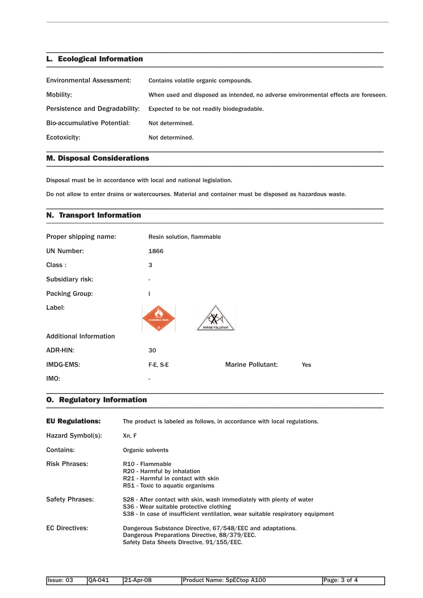#### L. Ecological Information \_\_\_\_\_\_\_\_\_\_\_\_\_\_\_\_\_\_\_\_\_\_\_\_\_\_\_\_\_\_\_\_\_\_\_\_\_\_\_\_\_\_\_\_\_\_\_\_\_\_\_\_\_\_\_\_\_\_\_\_\_\_\_\_\_\_\_\_\_\_\_\_\_\_\_\_\_\_\_\_\_\_\_\_\_\_\_\_\_\_\_\_\_\_\_

| <b>Environmental Assessment:</b>   | Contains volatile organic compounds.                                               |
|------------------------------------|------------------------------------------------------------------------------------|
| Mobility:                          | When used and disposed as intended, no adverse environmental effects are foreseen. |
| Persistence and Degradability:     | Expected to be not readily biodegradable.                                          |
| <b>Bio-accumulative Potential:</b> | Not determined.                                                                    |
| Ecotoxicity:                       | Not determined.                                                                    |

\_\_\_\_\_\_\_\_\_\_\_\_\_\_\_\_\_\_\_\_\_\_\_\_\_\_\_\_\_\_\_\_\_\_\_\_\_\_\_\_\_\_\_\_\_\_\_\_\_\_\_\_\_\_\_\_\_\_\_\_\_\_\_\_\_\_\_\_\_\_\_\_\_\_\_\_\_\_\_\_\_\_\_\_\_\_\_\_\_\_\_\_\_\_\_

\_\_\_\_\_\_\_\_\_\_\_\_\_\_\_\_\_\_\_\_\_\_\_\_\_\_\_\_\_\_\_\_\_\_\_\_\_\_\_\_\_\_\_\_\_\_\_\_\_\_\_\_\_\_\_\_\_\_\_\_\_\_\_\_\_\_\_\_\_\_\_\_\_\_\_\_\_\_\_\_\_\_\_\_\_\_\_\_\_\_\_\_\_\_\_

\_\_\_\_\_\_\_\_\_\_\_\_\_\_\_\_\_\_\_\_\_\_\_\_\_\_\_\_\_\_\_\_\_\_\_\_\_\_\_\_\_\_\_\_\_\_\_\_\_\_\_\_\_\_\_\_\_\_\_\_\_\_\_\_\_\_\_\_\_\_\_\_\_\_\_\_\_\_\_\_\_\_\_\_\_\_\_\_\_\_\_\_\_\_\_

## M. Disposal Considerations \_\_\_\_\_\_\_\_\_\_\_\_\_\_\_\_\_\_\_\_\_\_\_\_\_\_\_\_\_\_\_\_\_\_\_\_\_\_\_\_\_\_\_\_\_\_\_\_\_\_\_\_\_\_\_\_\_\_\_\_\_\_\_\_\_\_\_\_\_\_\_\_\_\_\_\_\_\_\_\_\_\_\_\_\_\_\_\_\_\_\_\_\_\_\_

Disposal must be in accordance with local and national legislation.

Do not allow to enter drains or watercourses. Material and container must be disposed as hazardous waste.

## N. Transport Information \_\_\_\_\_\_\_\_\_\_\_\_\_\_\_\_\_\_\_\_\_\_\_\_\_\_\_\_\_\_\_\_\_\_\_\_\_\_\_\_\_\_\_\_\_\_\_\_\_\_\_\_\_\_\_\_\_\_\_\_\_\_\_\_\_\_\_\_\_\_\_\_\_\_\_\_\_\_\_\_\_\_\_\_\_\_\_\_\_\_\_\_\_\_\_

| Proper shipping name:         | Resin solution, flammable |                          |     |  |
|-------------------------------|---------------------------|--------------------------|-----|--|
| <b>UN Number:</b>             | 1866                      |                          |     |  |
| Class:                        | 3                         |                          |     |  |
| Subsidiary risk:              |                           |                          |     |  |
| <b>Packing Group:</b>         | I                         |                          |     |  |
| Label:                        | <b>FLAMMABLE LIQUID</b>   | <b>MARINE POLLUTANT</b>  |     |  |
| <b>Additional Information</b> |                           |                          |     |  |
| <b>ADR-HIN:</b>               | 30                        |                          |     |  |
| <b>IMDG-EMS:</b>              | F-E, S-E                  | <b>Marine Pollutant:</b> | Yes |  |
| IMO:                          |                           |                          |     |  |

\_\_\_\_\_\_\_\_\_\_\_\_\_\_\_\_\_\_\_\_\_\_\_\_\_\_\_\_\_\_\_\_\_\_\_\_\_\_\_\_\_\_\_\_\_\_\_\_\_\_\_\_\_\_\_\_\_\_\_\_\_\_\_\_\_\_\_\_\_\_\_\_\_\_\_\_\_\_\_\_\_\_\_\_\_\_\_\_\_\_\_\_\_\_\_

#### O. Regulatory Information \_\_\_\_\_\_\_\_\_\_\_\_\_\_\_\_\_\_\_\_\_\_\_\_\_\_\_\_\_\_\_\_\_\_\_\_\_\_\_\_\_\_\_\_\_\_\_\_\_\_\_\_\_\_\_\_\_\_\_\_\_\_\_\_\_\_\_\_\_\_\_\_\_\_\_\_\_\_\_\_\_\_\_\_\_\_\_\_\_\_\_\_\_\_\_

| <b>EU Regulations:</b> | The product is labeled as follows, in accordance with local regulations.                                                                                                                          |  |  |
|------------------------|---------------------------------------------------------------------------------------------------------------------------------------------------------------------------------------------------|--|--|
| Hazard Symbol(s):      | Xn, F                                                                                                                                                                                             |  |  |
| Contains:              | Organic solvents                                                                                                                                                                                  |  |  |
| <b>Risk Phrases:</b>   | R <sub>10</sub> - Flammable<br>R20 - Harmful by inhalation<br>R21 - Harmful in contact with skin<br>R51 - Toxic to aquatic organisms                                                              |  |  |
| <b>Safety Phrases:</b> | S28 - After contact with skin, wash immediately with plenty of water<br>S36 - Wear suitable protective clothing<br>S38 - In case of insufficient ventilation, wear suitable respiratory equipment |  |  |
| <b>EC Directives:</b>  | Dangerous Substance Directive, 67/548/EEC and adaptations.<br>Dangerous Preparations Directive, 88/379/EEC.<br>Safety Data Sheets Directive, 91/155/EEC.                                          |  |  |

| .<br>$pr-08$<br>A100<br>'o-<br><b>Ilssue</b><br><b>SpECtop</b><br>i Pro<br>$-04^*$<br><b>A</b> <i><b>M</b></i> <b><i>M</i></b><br>OA-<br>- OT<br>Name:<br>്പാറ്റ<br>шс<br>æ<br>ve<br>∼ |  |  |  |
|----------------------------------------------------------------------------------------------------------------------------------------------------------------------------------------|--|--|--|
|                                                                                                                                                                                        |  |  |  |